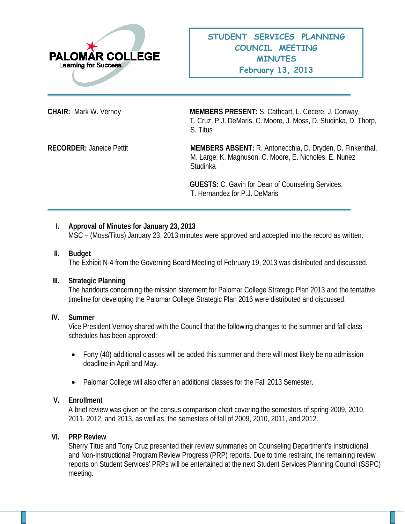

**CHAIR:** Mark W. Vernoy **MEMBERS PRESENT:** S. Cathcart, L. Cecere, J. Conway, T. Cruz, P.J. DeMaris, C. Moore, J. Moss, D. Studinka, D. Thorp, S. Titus

**RECORDER:** Janeice Pettit **MEMBERS ABSENT:** R. Antonecchia, D. Dryden, D. Finkenthal, M. Large, K. Magnuson, C. Moore, E. Nicholes, E. Nunez Studinka

> **GUESTS:** C. Gavin for Dean of Counseling Services, T. Hernandez for P.J. DeMaris

## **I. Approval of Minutes for January 23, 2013**

MSC – (Moss/Titus) January 23, 2013 minutes were approved and accepted into the record as written.

### **II. Budget**

The Exhibit N-4 from the Governing Board Meeting of February 19, 2013 was distributed and discussed.

#### **III. Strategic Planning**

The handouts concerning the mission statement for Palomar College Strategic Plan 2013 and the tentative timeline for developing the Palomar College Strategic Plan 2016 were distributed and discussed.

#### **IV. Summer**

Vice President Vernoy shared with the Council that the following changes to the summer and fall class schedules has been approved:

- Forty (40) additional classes will be added this summer and there will most likely be no admission deadline in April and May.
- Palomar College will also offer an additional classes for the Fall 2013 Semester.

#### **V. Enrollment**

A brief review was given on the census comparison chart covering the semesters of spring 2009, 2010, 2011, 2012, and 2013, as well as, the semesters of fall of 2009, 2010, 2011, and 2012.

## **VI. PRP Review**

Sherry Titus and Tony Cruz presented their review summaries on Counseling Department's Instructional and Non-Instructional Program Review Progress (PRP) reports. Due to time restraint, the remaining review reports on Student Services' PRPs will be entertained at the next Student Services Planning Council (SSPC) meeting.